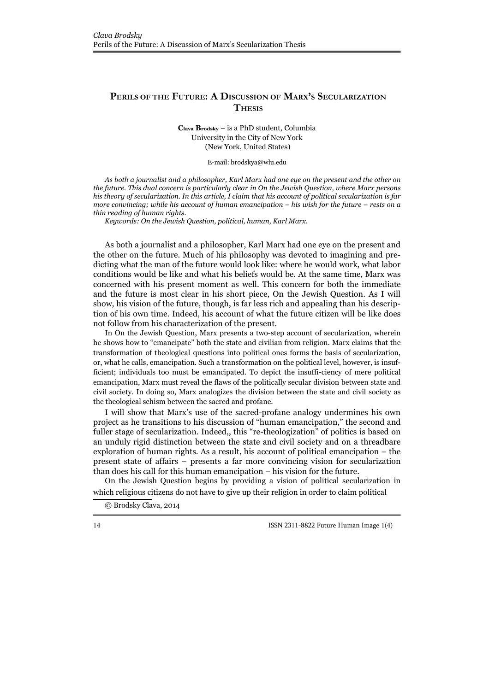## **PERILS OF THE FUTURE: A DISCUSSION OF MARX'S SECULARIZATION THESIS**

**Clava Brodsky** – is a PhD student, Columbia University in the City of New York (New York, United States)

E-mail: brodskya@wlu.edu

*As both a journalist and a philosopher, Karl Marx had one eye on the present and the other on the future. This dual concern is particularly clear in On the Jewish Question, where Marx persons his theory of secularization. In this article, I claim that his account of political secularization is far more convincing; while his account of human emancipation – his wish for the future – rests on a thin reading of human rights.*

*Keywords: On the Jewish Question, political, human, Karl Marx.*

As both a journalist and a philosopher, Karl Marx had one eye on the present and the other on the future. Much of his philosophy was devoted to imagining and predicting what the man of the future would look like: where he would work, what labor conditions would be like and what his beliefs would be. At the same time, Marx was concerned with his present moment as well. This concern for both the immediate and the future is most clear in his short piece, On the Jewish Question. As I will show, his vision of the future, though, is far less rich and appealing than his description of his own time. Indeed, his account of what the future citizen will be like does not follow from his characterization of the present.

In On the Jewish Question, Marx presents a two-step account of secularization, wherein he shows how to "emancipate" both the state and civilian from religion. Marx claims that the transformation of theological questions into political ones forms the basis of secularization, or, what he calls, emancipation. Such a transformation on the political level, however, is insufficient; individuals too must be emancipated. To depict the insuffi-ciency of mere political emancipation, Marx must reveal the flaws of the politically secular division between state and civil society. In doing so, Marx analogizes the division between the state and civil society as the theological schism between the sacred and profane.

I will show that Marx's use of the sacred-profane analogy undermines his own project as he transitions to his discussion of "human emancipation," the second and fuller stage of secularization. Indeed,, this "re-theologization" of politics is based on an unduly rigid distinction between the state and civil society and on a threadbare exploration of human rights. As a result, his account of political emancipation – the present state of affairs – presents a far more convincing vision for secularization than does his call for this human emancipation – his vision for the future.

On the Jewish Question begins by providing a vision of political secularization in which religious citizens do not have to give up their religion in order to claim political

<sup>©</sup> Brodsky Clava, 2014

<sup>14</sup> ISSN 2311-8822 Future Human Image 1(4)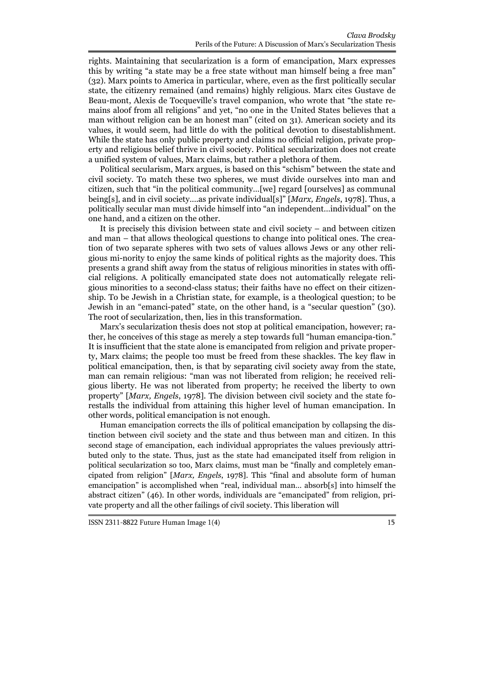rights. Maintaining that secularization is a form of emancipation, Marx expresses this by writing "a state may be a free state without man himself being a free man" (32). Marx points to America in particular, where, even as the first politically secular state, the citizenry remained (and remains) highly religious. Marx cites Gustave de Beau-mont, Alexis de Tocqueville's travel companion, who wrote that "the state remains aloof from all religions" and yet, "no one in the United States believes that a man without religion can be an honest man" (cited on 31). American society and its values, it would seem, had little do with the political devotion to disestablishment. While the state has only public property and claims no official religion, private property and religious belief thrive in civil society. Political secularization does not create a unified system of values, Marx claims, but rather a plethora of them.

Political secularism, Marx argues, is based on this "schism" between the state and civil society. To match these two spheres, we must divide ourselves into man and citizen, such that "in the political community…[we] regard [ourselves] as communal being[s], and in civil society….as private individual[s]" [*Marx, Engels*, 1978]. Thus, a politically secular man must divide himself into "an independent…individual" on the one hand, and a citizen on the other.

It is precisely this division between state and civil society – and between citizen and man – that allows theological questions to change into political ones. The creation of two separate spheres with two sets of values allows Jews or any other religious mi-nority to enjoy the same kinds of political rights as the majority does. This presents a grand shift away from the status of religious minorities in states with official religions. A politically emancipated state does not automatically relegate religious minorities to a second-class status; their faiths have no effect on their citizenship. To be Jewish in a Christian state, for example, is a theological question; to be Jewish in an "emanci-pated" state, on the other hand, is a "secular question" (30). The root of secularization, then, lies in this transformation.

Marx's secularization thesis does not stop at political emancipation, however; rather, he conceives of this stage as merely a step towards full "human emancipa-tion." It is insufficient that the state alone is emancipated from religion and private property, Marx claims; the people too must be freed from these shackles. The key flaw in political emancipation, then, is that by separating civil society away from the state, man can remain religious: "man was not liberated from religion; he received religious liberty. He was not liberated from property; he received the liberty to own property" [*Marx, Engels*, 1978]. The division between civil society and the state forestalls the individual from attaining this higher level of human emancipation. In other words, political emancipation is not enough.

Human emancipation corrects the ills of political emancipation by collapsing the distinction between civil society and the state and thus between man and citizen. In this second stage of emancipation, each individual appropriates the values previously attributed only to the state. Thus, just as the state had emancipated itself from religion in political secularization so too, Marx claims, must man be "finally and completely emancipated from religion" [*Marx, Engels*, 1978]. This "final and absolute form of human emancipation" is accomplished when "real, individual man… absorb[s] into himself the abstract citizen" (46). In other words, individuals are "emancipated" from religion, private property and all the other failings of civil society. This liberation will

ISSN 2311-8822 Future Human Image 1(4) 15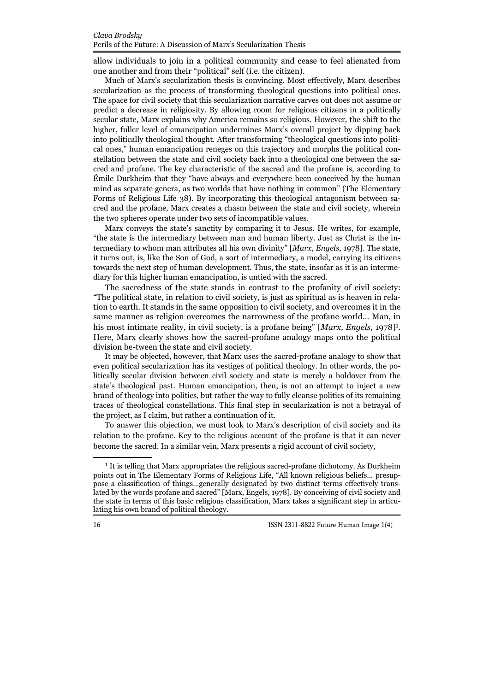allow individuals to join in a political community and cease to feel alienated from one another and from their "political" self (i.e. the citizen).

Much of Marx's secularization thesis is convincing. Most effectively, Marx describes secularization as the process of transforming theological questions into political ones. The space for civil society that this secularization narrative carves out does not assume or predict a decrease in religiosity. By allowing room for religious citizens in a politically secular state, Marx explains why America remains so religious. However, the shift to the higher, fuller level of emancipation undermines Marx's overall project by dipping back into politically theological thought. After transforming "theological questions into political ones," human emancipation reneges on this trajectory and morphs the political constellation between the state and civil society back into a theological one between the sacred and profane. The key characteristic of the sacred and the profane is, according to Émile Durkheim that they "have always and everywhere been conceived by the human mind as separate genera, as two worlds that have nothing in common" (The Elementary Forms of Religious Life 38). By incorporating this theological antagonism between sacred and the profane, Marx creates a chasm between the state and civil society, wherein the two spheres operate under two sets of incompatible values.

Marx conveys the state's sanctity by comparing it to Jesus. He writes, for example, "the state is the intermediary between man and human liberty. Just as Christ is the intermediary to whom man attributes all his own divinity" [*Marx, Engels*, 1978]. The state, it turns out, is, like the Son of God, a sort of intermediary, a model, carrying its citizens towards the next step of human development. Thus, the state, insofar as it is an intermediary for this higher human emancipation, is untied with the sacred.

The sacredness of the state stands in contrast to the profanity of civil society: "The political state, in relation to civil society, is just as spiritual as is heaven in relation to earth. It stands in the same opposition to civil society, and overcomes it in the same manner as religion overcomes the narrowness of the profane world… Man, in his most intimate reality, in civil society, is a profane being" [*Marx, Engels*, 1978]<sup>1</sup> . Here, Marx clearly shows how the sacred-profane analogy maps onto the political division be-tween the state and civil society.

It may be objected, however, that Marx uses the sacred-profane analogy to show that even political secularization has its vestiges of political theology. In other words, the politically secular division between civil society and state is merely a holdover from the state's theological past. Human emancipation, then, is not an attempt to inject a new brand of theology into politics, but rather the way to fully cleanse politics of its remaining traces of theological constellations. This final step in secularization is not a betrayal of the project, as I claim, but rather a continuation of it.

To answer this objection, we must look to Marx's description of civil society and its relation to the profane. Key to the religious account of the profane is that it can never become the sacred. In a similar vein, Marx presents a rigid account of civil society,

<sup>&</sup>lt;sup>1</sup> It is telling that Marx appropriates the religious sacred-profane dichotomy. As Durkheim points out in The Elementary Forms of Religious Life, "All known religious beliefs… presuppose a classification of things…generally designated by two distinct terms effectively translated by the words profane and sacred" [Marx, Engels, 1978]. By conceiving of civil society and the state in terms of this basic religious classification, Marx takes a significant step in articulating his own brand of political theology.

<sup>16</sup> ISSN 2311-8822 Future Human Image 1(4)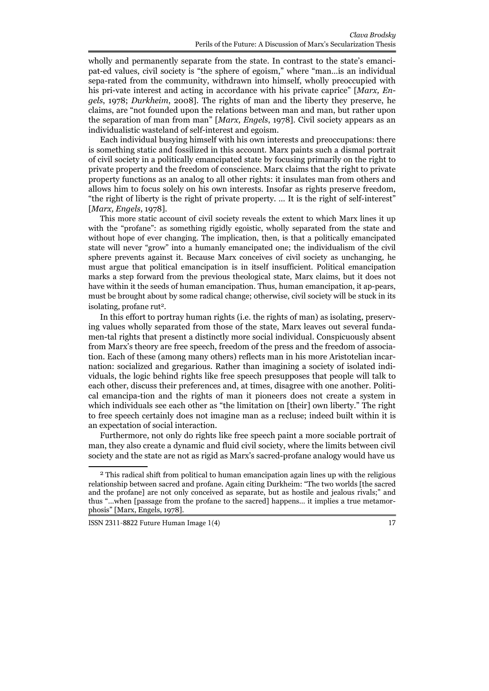wholly and permanently separate from the state. In contrast to the state's emancipat-ed values, civil society is "the sphere of egoism," where "man…is an individual sepa-rated from the community, withdrawn into himself, wholly preoccupied with his pri-vate interest and acting in accordance with his private caprice" [*Marx, Engels*, 1978; *Durkheim*, 2008]. The rights of man and the liberty they preserve, he claims, are "not founded upon the relations between man and man, but rather upon the separation of man from man" [*Marx, Engels*, 1978]. Civil society appears as an individualistic wasteland of self-interest and egoism.

Each individual busying himself with his own interests and preoccupations: there is something static and fossilized in this account. Marx paints such a dismal portrait of civil society in a politically emancipated state by focusing primarily on the right to private property and the freedom of conscience. Marx claims that the right to private property functions as an analog to all other rights: it insulates man from others and allows him to focus solely on his own interests. Insofar as rights preserve freedom, "the right of liberty is the right of private property. … It is the right of self-interest" [*Marx, Engels*, 1978].

This more static account of civil society reveals the extent to which Marx lines it up with the "profane": as something rigidly egoistic, wholly separated from the state and without hope of ever changing. The implication, then, is that a politically emancipated state will never "grow" into a humanly emancipated one; the individualism of the civil sphere prevents against it. Because Marx conceives of civil society as unchanging, he must argue that political emancipation is in itself insufficient. Political emancipation marks a step forward from the previous theological state, Marx claims, but it does not have within it the seeds of human emancipation. Thus, human emancipation, it ap-pears, must be brought about by some radical change; otherwise, civil society will be stuck in its isolating, profane rut<sup>2</sup>.

In this effort to portray human rights (i.e. the rights of man) as isolating, preserving values wholly separated from those of the state, Marx leaves out several fundamen-tal rights that present a distinctly more social individual. Conspicuously absent from Marx's theory are free speech, freedom of the press and the freedom of association. Each of these (among many others) reflects man in his more Aristotelian incarnation: socialized and gregarious. Rather than imagining a society of isolated individuals, the logic behind rights like free speech presupposes that people will talk to each other, discuss their preferences and, at times, disagree with one another. Political emancipa-tion and the rights of man it pioneers does not create a system in which individuals see each other as "the limitation on [their] own liberty." The right to free speech certainly does not imagine man as a recluse; indeed built within it is an expectation of social interaction.

Furthermore, not only do rights like free speech paint a more sociable portrait of man, they also create a dynamic and fluid civil society, where the limits between civil society and the state are not as rigid as Marx's sacred-profane analogy would have us

<sup>2</sup> This radical shift from political to human emancipation again lines up with the religious relationship between sacred and profane. Again citing Durkheim: "The two worlds [the sacred and the profane] are not only conceived as separate, but as hostile and jealous rivals;" and thus "…when [passage from the profane to the sacred] happens… it implies a true metamorphosis" [Marx, Engels, 1978].

ISSN 2311-8822 Future Human Image 1(4) 17